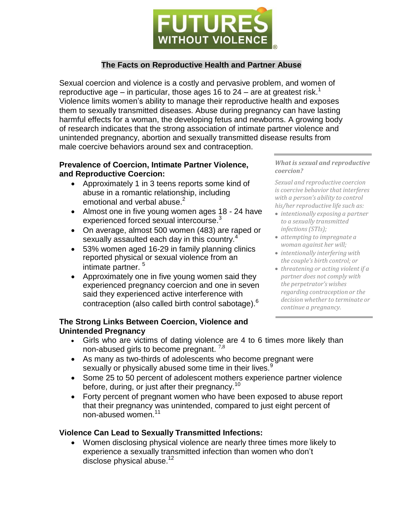

# **The Facts on Reproductive Health and Partner Abuse**

Sexual coercion and violence is a costly and pervasive problem, and women of reproductive age  $-$  in particular, those ages 16 to 24  $-$  are at greatest risk.<sup>1</sup> Violence limits women's ability to manage their reproductive health and exposes them to sexually transmitted diseases. Abuse during pregnancy can have lasting harmful effects for a woman, the developing fetus and newborns. A growing body of research indicates that the strong association of intimate partner violence and unintended pregnancy, abortion and sexually transmitted disease results from male coercive behaviors around sex and contraception.

#### **Prevalence of Coercion, Intimate Partner Violence, and Reproductive Coercion:**

- Approximately 1 in 3 teens reports some kind of abuse in a romantic relationship, including emotional and verbal abuse. $<sup>2</sup>$ </sup>
- Almost one in five young women ages 18 24 have experienced forced sexual intercourse.<sup>3</sup>
- On average, almost 500 women (483) are raped or sexually assaulted each day in this country.<sup>4</sup>
- 53% women aged 16-29 in family planning clinics reported physical or sexual violence from an intimate partner. 5
- Approximately one in five young women said they experienced pregnancy coercion and one in seven said they experienced active interference with contraception (also called birth control sabotage).<sup>6</sup>

*What is sexual and reproductive coercion?*

*Sexual and reproductive coercion is coercive behavior that interferes with a person's ability to control his/her reproductive life such as:*

- *intentionally exposing a partner to a sexually transmitted infections(STIs);*
- *attempting to impregnate a woman against her will;*
- *intentionally interfering with the couple's birth control; or*
- *threatening or acting violent if a partner does not comply with the perpetrator's wishes regarding contraception or the decision whether to terminate or continue a pregnancy.*

### **The Strong Links Between Coercion, Violence and Unintended Pregnancy**

- Girls who are victims of dating violence are 4 to 6 times more likely than non-abused girls to become pregnant.  $7,8$
- As many as two-thirds of adolescents who become pregnant were sexually or physically abused some time in their lives.<sup>9</sup>
- Some 25 to 50 percent of adolescent mothers experience partner violence before, during, or just after their pregnancy.<sup>10</sup>
- Forty percent of pregnant women who have been exposed to abuse report that their pregnancy was unintended, compared to just eight percent of non-abused women. 11

## **Violence Can Lead to Sexually Transmitted Infections:**

 Women disclosing physical violence are nearly three times more likely to experience a sexually transmitted infection than women who don't disclose physical abuse.<sup>12</sup>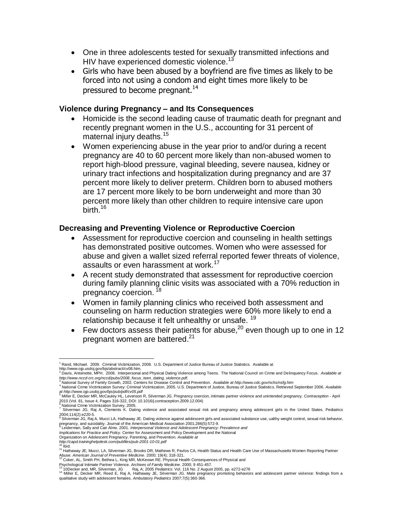- One in three adolescents tested for sexually transmitted infections and HIV have experienced domestic violence.<sup>13</sup>
- Girls who have been abused by a boyfriend are five times as likely to be forced into not using a condom and eight times more likely to be pressured to become pregnant.<sup>14</sup>

### **Violence during Pregnancy – and Its Consequences**

- Homicide is the second leading cause of traumatic death for pregnant and recently pregnant women in the U.S., accounting for 31 percent of maternal injury deaths.<sup>15</sup>
- Women experiencing abuse in the year prior to and/or during a recent pregnancy are 40 to 60 percent more likely than non-abused women to report high-blood pressure, vaginal bleeding, severe nausea, kidney or urinary tract infections and hospitalization during pregnancy and are 37 percent more likely to deliver preterm. Children born to abused mothers are 17 percent more likely to be born underweight and more than 30 percent more likely than other children to require intensive care upon .<br>birth.<sup>16</sup>

### **Decreasing and Preventing Violence or Reproductive Coercion**

- Assessment for reproductive coercion and counseling in health settings has demonstrated positive outcomes. Women who were assessed for abuse and given a wallet sized referral reported fewer threats of violence, assaults or even harassment at work. 17
- A recent study demonstrated that assessment for reproductive coercion during family planning clinic visits was associated with a 70% reduction in pregnancy coercion.<sup>18</sup>
- Women in family planning clinics who received both assessment and counseling on harm reduction strategies were 60% more likely to end a relationship because it felt unhealthy or unsafe. <sup>19</sup>
- Few doctors assess their patients for abuse,  $20$  even though up to one in 12 pregnant women are battered.<sup>21</sup>

<sup>&</sup>lt;sup>1</sup> Rand, Michael. 2009. Criminal Victimiz[at](http://www.ojp.usdoj.gov/bjs/abstract/cv08.htm)ion, 2008. U.S. Department of Justice Bureau of Justice Statistics. Available at [http://www.ojp.usdoj.gov/bjs/abstract/cv08.htm.](http://www.ojp.usdoj.gov/bjs/abstract/cv08.htm) <sup>2</sup> Davis, Antoinette, MPH. 2008. Interpersonal and Physical Dating Violence among Teens. The National Council on Crime and Delinquency Focus. *Available at*

*[http://www.nccd-crc.org/nccd/pubs/2008\\_focus\\_teen\\_dating\\_violence.pdf.](http://www.nccd-crc.org/nccd/pubs/2008_focus_teen_dating_violence.pdf)* <sup>3</sup> National Survey of Family Growth, 2002. Centers for Disease Control and Prevention. *Availa[ble at http://www.cdc.gov/nchs/nsfg.htm](http://www.cdc.gov/nchs/nsfg.htm)*

<sup>&</sup>lt;sup>4</sup> National Crim[e](http://www.ojp.usdoj.gov/bjs/pub/pdf/cv05.pdf) Victimization Survey: Criminal Victimization, 2005. U.S. Department of Justice, Bureau of Justice Statistics. Retrieved September 2006. *Available*<br>*[at http://www.ojp.usdoj.gov/bjs/pub/pdf/cv05.pdf](http://www.ojp.usdoj.gov/bjs/pub/pdf/cv05.pdf)*<br><sup>5</sup>

e<br><sup>6</sup> National Crime Victimization Survey, 2005.<br><sup>7</sup> Silverman JG, Raj A, Clements K. Dating violence and associated sexual risk and pregnancy among adolescent girls in the United States. Pediatrics

<sup>2004;114(2):</sup>e220-5.<br><sup>8</sup> Silverman JG, Raj A, Mucci LA, Hathaway JE. Dating violence against adolescent girls and associated substance use, ualthy weight control, sexual risk behavior,<br>pregnancy, and suicidality. Journal of

<sup>9</sup> Leiderman, Sally and Cair Almo. 2001. *Interpersonal Violence and Adolescent Pregnancy: Prevalence and*

*Implications for Practice and Policy.* Center for Assessment and Policy Development and the National Organization on Adolescent Pregnancy, Parenting, and Prevention. *Available [at](http://capd.traininghelpdesk.com/pubfiles/pub-2001-10-01.pdf)*

*<http://capd.traininghelpdesk.com/pubfiles/pub-2001-10-01.pdf>* 10

Ibid.

<sup>11</sup> Hathaway JE; Mucci, LA, Silverman JG, Brooks DR, Mathews R, Pavlos CA, Health Status and Health Care Use of Massachusetts Women Reporting Partner Abuse. *American Journal of Preventive Medicine.* 2000; 19(4); 318-321.<br><sup>12</sup> Coker, AL, Smith PH, Bethea L, King MR, McKeown RE. Physical Health Consequences of Physical and

Psychological Intimate Partner Violence. *Archives of Family Medicine.* 2000; 9 451-457.

<sup>&</sup>lt;sup>13</sup> 10Decker and, MR, Silverman, JG Raj, A; 2005 *Pediatrics*: Vol. 116 No. 2 August 2005, pp. e272-e276<br><sup>14</sup> Miller E, Decker MR, Reed E, Raj A, Hathaway JE, Silverman JG. Male pregnancy promoting behaviors and adole qualitative study with adolescent females. *Ambulatory Pediatrics* 2007;7(5):360-366.